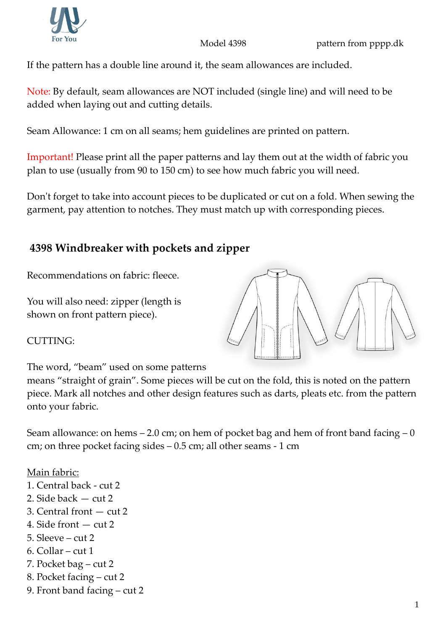



If the pattern has a double line around it, the seam allowances are included.

Note: By default, seam allowances are NOT included (single line) and will need to be added when laying out and cutting details.

Seam Allowance: 1 cm on all seams; hem guidelines are printed on pattern.

Important! Please print all the paper patterns and lay them out at the width of fabric you plan to use (usually from 90 to 150 cm) to see how much fabric you will need.

Don't forget to take into account pieces to be duplicated or cut on a fold. When sewing the garment, pay attention to notches. They must match up with corresponding pieces.

## **4398 Windbreaker with pockets and zipper**

Recommendations on fabric: fleece.

You will also need: zipper (length is shown on front pattern piece).



CUTTING:

The word, "beam" used on some patterns

means "straight of grain". Some pieces will be cut on the fold, this is noted on the pattern piece. Mark all notches and other design features such as darts, pleats etc. from the pattern onto your fabric.

Seam allowance: on hems  $-2.0$  cm; on hem of pocket bag and hem of front band facing  $-0$ cm; on three pocket facing sides – 0.5 cm; all other seams - 1 cm

## Main fabric:

- 1. Central back cut 2
- 2. Side back cut 2
- 3. Central front cut 2
- 4. Side front cut 2
- 5. Sleeve  $cut 2$
- 6. Collar cut 1
- 7. Pocket bag cut 2
- 8. Pocket facing cut 2
- 9. Front band facing cut 2